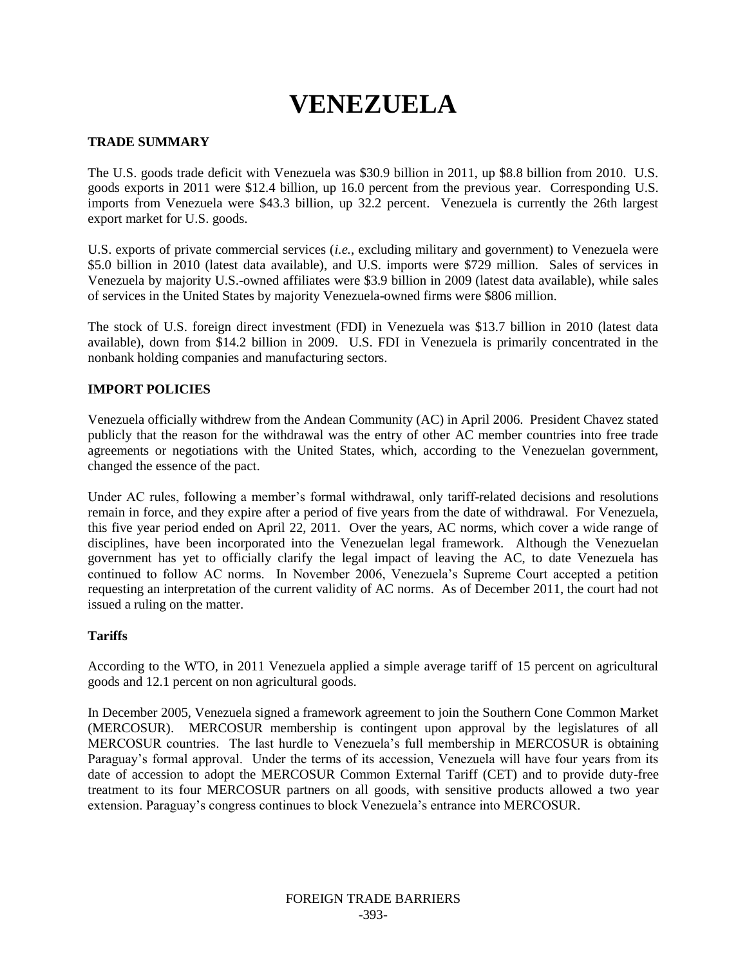# **VENEZUELA**

## **TRADE SUMMARY**

The U.S. goods trade deficit with Venezuela was \$30.9 billion in 2011, up \$8.8 billion from 2010. U.S. goods exports in 2011 were \$12.4 billion, up 16.0 percent from the previous year. Corresponding U.S. imports from Venezuela were \$43.3 billion, up 32.2 percent. Venezuela is currently the 26th largest export market for U.S. goods.

U.S. exports of private commercial services (*i.e.*, excluding military and government) to Venezuela were \$5.0 billion in 2010 (latest data available), and U.S. imports were \$729 million. Sales of services in Venezuela by majority U.S.-owned affiliates were \$3.9 billion in 2009 (latest data available), while sales of services in the United States by majority Venezuela-owned firms were \$806 million.

The stock of U.S. foreign direct investment (FDI) in Venezuela was \$13.7 billion in 2010 (latest data available), down from \$14.2 billion in 2009. U.S. FDI in Venezuela is primarily concentrated in the nonbank holding companies and manufacturing sectors.

# **IMPORT POLICIES**

Venezuela officially withdrew from the Andean Community (AC) in April 2006. President Chavez stated publicly that the reason for the withdrawal was the entry of other AC member countries into free trade agreements or negotiations with the United States, which, according to the Venezuelan government, changed the essence of the pact.

Under AC rules, following a member's formal withdrawal, only tariff-related decisions and resolutions remain in force, and they expire after a period of five years from the date of withdrawal. For Venezuela, this five year period ended on April 22, 2011. Over the years, AC norms, which cover a wide range of disciplines, have been incorporated into the Venezuelan legal framework. Although the Venezuelan government has yet to officially clarify the legal impact of leaving the AC, to date Venezuela has continued to follow AC norms. In November 2006, Venezuela's Supreme Court accepted a petition requesting an interpretation of the current validity of AC norms. As of December 2011, the court had not issued a ruling on the matter.

## **Tariffs**

According to the WTO, in 2011 Venezuela applied a simple average tariff of 15 percent on agricultural goods and 12.1 percent on non agricultural goods.

In December 2005, Venezuela signed a framework agreement to join the Southern Cone Common Market (MERCOSUR). MERCOSUR membership is contingent upon approval by the legislatures of all MERCOSUR countries. The last hurdle to Venezuela"s full membership in MERCOSUR is obtaining Paraguay's formal approval. Under the terms of its accession, Venezuela will have four years from its date of accession to adopt the MERCOSUR Common External Tariff (CET) and to provide duty-free treatment to its four MERCOSUR partners on all goods, with sensitive products allowed a two year extension. Paraguay"s congress continues to block Venezuela"s entrance into MERCOSUR.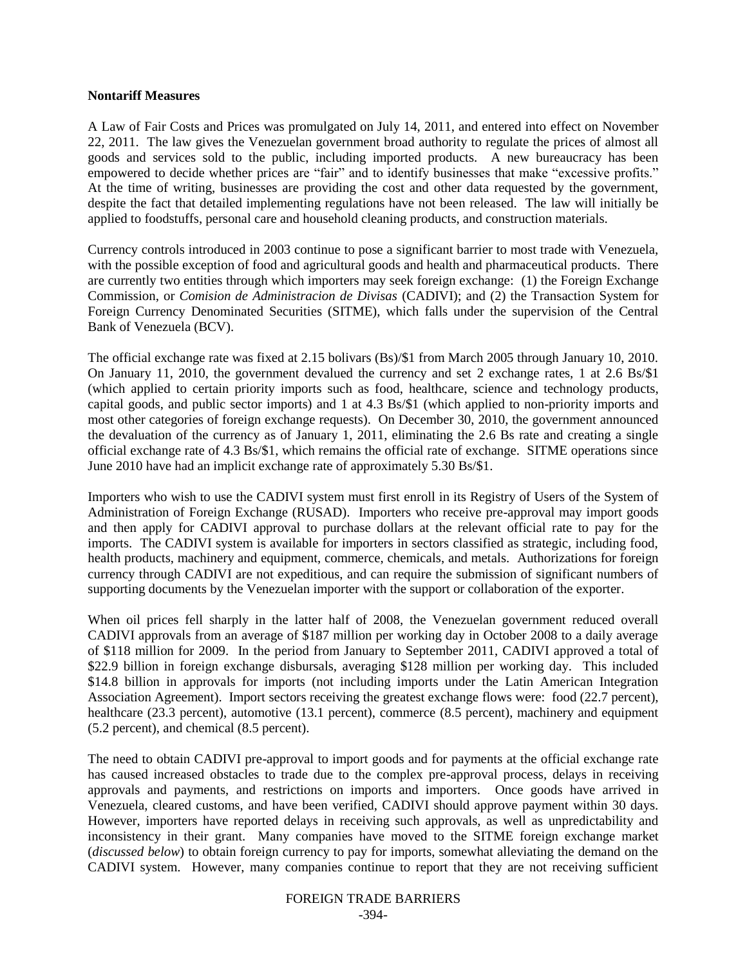#### **Nontariff Measures**

A Law of Fair Costs and Prices was promulgated on July 14, 2011, and entered into effect on November 22, 2011. The law gives the Venezuelan government broad authority to regulate the prices of almost all goods and services sold to the public, including imported products. A new bureaucracy has been empowered to decide whether prices are "fair" and to identify businesses that make "excessive profits." At the time of writing, businesses are providing the cost and other data requested by the government, despite the fact that detailed implementing regulations have not been released. The law will initially be applied to foodstuffs, personal care and household cleaning products, and construction materials.

Currency controls introduced in 2003 continue to pose a significant barrier to most trade with Venezuela, with the possible exception of food and agricultural goods and health and pharmaceutical products. There are currently two entities through which importers may seek foreign exchange: (1) the Foreign Exchange Commission, or *Comision de Administracion de Divisas* (CADIVI); and (2) the Transaction System for Foreign Currency Denominated Securities (SITME), which falls under the supervision of the Central Bank of Venezuela (BCV).

The official exchange rate was fixed at 2.15 bolivars (Bs)/\$1 from March 2005 through January 10, 2010. On January 11, 2010, the government devalued the currency and set 2 exchange rates, 1 at 2.6 Bs/\$1 (which applied to certain priority imports such as food, healthcare, science and technology products, capital goods, and public sector imports) and 1 at 4.3 Bs/\$1 (which applied to non-priority imports and most other categories of foreign exchange requests). On December 30, 2010, the government announced the devaluation of the currency as of January 1, 2011, eliminating the 2.6 Bs rate and creating a single official exchange rate of 4.3 Bs/\$1, which remains the official rate of exchange. SITME operations since June 2010 have had an implicit exchange rate of approximately 5.30 Bs/\$1.

Importers who wish to use the CADIVI system must first enroll in its Registry of Users of the System of Administration of Foreign Exchange (RUSAD). Importers who receive pre-approval may import goods and then apply for CADIVI approval to purchase dollars at the relevant official rate to pay for the imports. The CADIVI system is available for importers in sectors classified as strategic, including food, health products, machinery and equipment, commerce, chemicals, and metals. Authorizations for foreign currency through CADIVI are not expeditious, and can require the submission of significant numbers of supporting documents by the Venezuelan importer with the support or collaboration of the exporter.

When oil prices fell sharply in the latter half of 2008, the Venezuelan government reduced overall CADIVI approvals from an average of \$187 million per working day in October 2008 to a daily average of \$118 million for 2009. In the period from January to September 2011, CADIVI approved a total of \$22.9 billion in foreign exchange disbursals, averaging \$128 million per working day. This included \$14.8 billion in approvals for imports (not including imports under the Latin American Integration Association Agreement). Import sectors receiving the greatest exchange flows were: food (22.7 percent), healthcare (23.3 percent), automotive (13.1 percent), commerce (8.5 percent), machinery and equipment (5.2 percent), and chemical (8.5 percent).

The need to obtain CADIVI pre-approval to import goods and for payments at the official exchange rate has caused increased obstacles to trade due to the complex pre-approval process, delays in receiving approvals and payments, and restrictions on imports and importers. Once goods have arrived in Venezuela, cleared customs, and have been verified, CADIVI should approve payment within 30 days. However, importers have reported delays in receiving such approvals, as well as unpredictability and inconsistency in their grant. Many companies have moved to the SITME foreign exchange market (*discussed below*) to obtain foreign currency to pay for imports, somewhat alleviating the demand on the CADIVI system. However, many companies continue to report that they are not receiving sufficient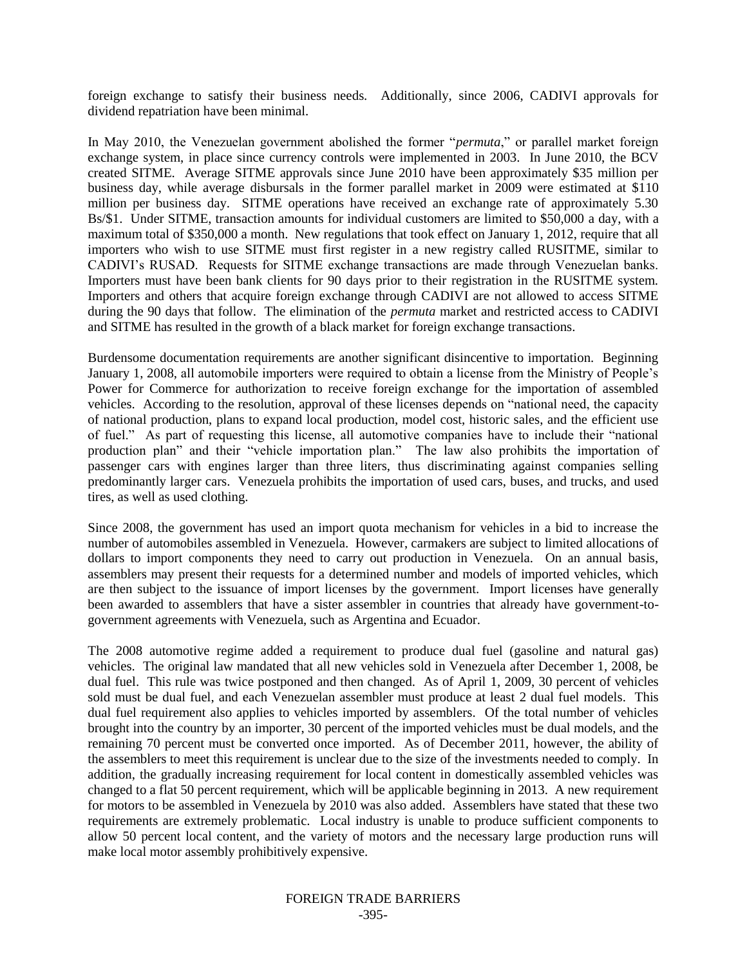foreign exchange to satisfy their business needs. Additionally, since 2006, CADIVI approvals for dividend repatriation have been minimal.

In May 2010, the Venezuelan government abolished the former "*permuta*," or parallel market foreign exchange system, in place since currency controls were implemented in 2003. In June 2010, the BCV created SITME. Average SITME approvals since June 2010 have been approximately \$35 million per business day, while average disbursals in the former parallel market in 2009 were estimated at \$110 million per business day. SITME operations have received an exchange rate of approximately 5.30 Bs/\$1. Under SITME, transaction amounts for individual customers are limited to \$50,000 a day, with a maximum total of \$350,000 a month. New regulations that took effect on January 1, 2012, require that all importers who wish to use SITME must first register in a new registry called RUSITME, similar to CADIVI"s RUSAD. Requests for SITME exchange transactions are made through Venezuelan banks. Importers must have been bank clients for 90 days prior to their registration in the RUSITME system. Importers and others that acquire foreign exchange through CADIVI are not allowed to access SITME during the 90 days that follow. The elimination of the *permuta* market and restricted access to CADIVI and SITME has resulted in the growth of a black market for foreign exchange transactions.

Burdensome documentation requirements are another significant disincentive to importation. Beginning January 1, 2008, all automobile importers were required to obtain a license from the Ministry of People"s Power for Commerce for authorization to receive foreign exchange for the importation of assembled vehicles. According to the resolution, approval of these licenses depends on "national need, the capacity of national production, plans to expand local production, model cost, historic sales, and the efficient use of fuel." As part of requesting this license, all automotive companies have to include their "national production plan" and their "vehicle importation plan." The law also prohibits the importation of passenger cars with engines larger than three liters, thus discriminating against companies selling predominantly larger cars. Venezuela prohibits the importation of used cars, buses, and trucks, and used tires, as well as used clothing.

Since 2008, the government has used an import quota mechanism for vehicles in a bid to increase the number of automobiles assembled in Venezuela. However, carmakers are subject to limited allocations of dollars to import components they need to carry out production in Venezuela. On an annual basis, assemblers may present their requests for a determined number and models of imported vehicles, which are then subject to the issuance of import licenses by the government. Import licenses have generally been awarded to assemblers that have a sister assembler in countries that already have government-togovernment agreements with Venezuela, such as Argentina and Ecuador.

The 2008 automotive regime added a requirement to produce dual fuel (gasoline and natural gas) vehicles. The original law mandated that all new vehicles sold in Venezuela after December 1, 2008, be dual fuel. This rule was twice postponed and then changed. As of April 1, 2009, 30 percent of vehicles sold must be dual fuel, and each Venezuelan assembler must produce at least 2 dual fuel models. This dual fuel requirement also applies to vehicles imported by assemblers. Of the total number of vehicles brought into the country by an importer, 30 percent of the imported vehicles must be dual models, and the remaining 70 percent must be converted once imported. As of December 2011, however, the ability of the assemblers to meet this requirement is unclear due to the size of the investments needed to comply. In addition, the gradually increasing requirement for local content in domestically assembled vehicles was changed to a flat 50 percent requirement, which will be applicable beginning in 2013. A new requirement for motors to be assembled in Venezuela by 2010 was also added. Assemblers have stated that these two requirements are extremely problematic. Local industry is unable to produce sufficient components to allow 50 percent local content, and the variety of motors and the necessary large production runs will make local motor assembly prohibitively expensive.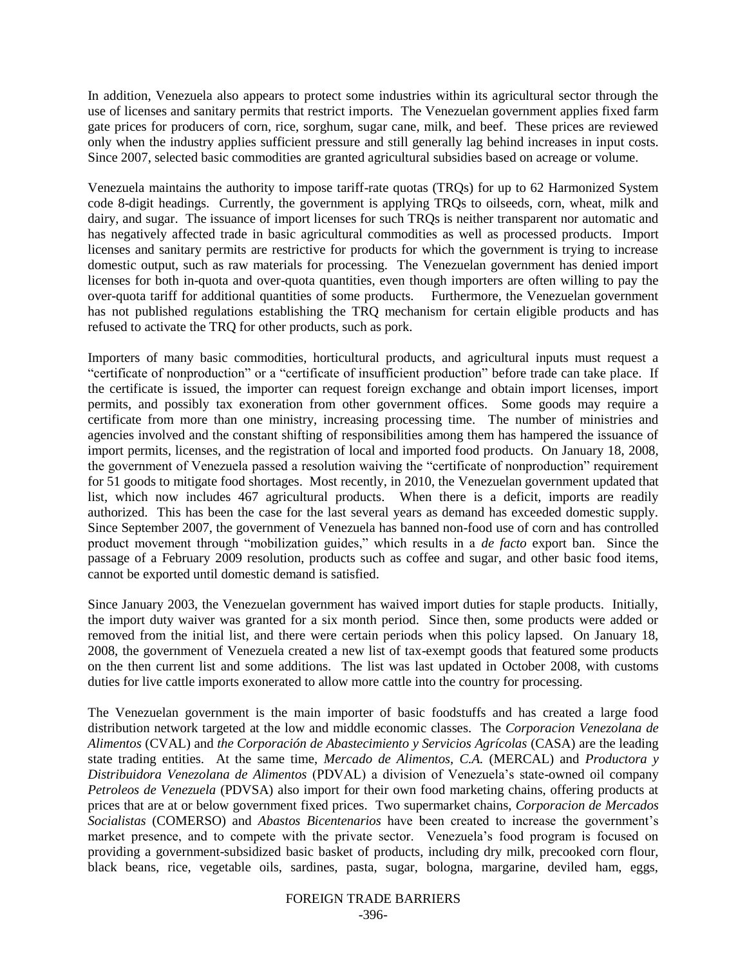In addition, Venezuela also appears to protect some industries within its agricultural sector through the use of licenses and sanitary permits that restrict imports. The Venezuelan government applies fixed farm gate prices for producers of corn, rice, sorghum, sugar cane, milk, and beef. These prices are reviewed only when the industry applies sufficient pressure and still generally lag behind increases in input costs. Since 2007, selected basic commodities are granted agricultural subsidies based on acreage or volume.

Venezuela maintains the authority to impose tariff-rate quotas (TRQs) for up to 62 Harmonized System code 8-digit headings. Currently, the government is applying TRQs to oilseeds, corn, wheat, milk and dairy, and sugar. The issuance of import licenses for such TRQs is neither transparent nor automatic and has negatively affected trade in basic agricultural commodities as well as processed products. Import licenses and sanitary permits are restrictive for products for which the government is trying to increase domestic output, such as raw materials for processing. The Venezuelan government has denied import licenses for both in-quota and over-quota quantities, even though importers are often willing to pay the over-quota tariff for additional quantities of some products. Furthermore, the Venezuelan government has not published regulations establishing the TRQ mechanism for certain eligible products and has refused to activate the TRQ for other products, such as pork.

Importers of many basic commodities, horticultural products, and agricultural inputs must request a "certificate of nonproduction" or a "certificate of insufficient production" before trade can take place. If the certificate is issued, the importer can request foreign exchange and obtain import licenses, import permits, and possibly tax exoneration from other government offices. Some goods may require a certificate from more than one ministry, increasing processing time. The number of ministries and agencies involved and the constant shifting of responsibilities among them has hampered the issuance of import permits, licenses, and the registration of local and imported food products. On January 18, 2008, the government of Venezuela passed a resolution waiving the "certificate of nonproduction" requirement for 51 goods to mitigate food shortages. Most recently, in 2010, the Venezuelan government updated that list, which now includes 467 agricultural products. When there is a deficit, imports are readily authorized. This has been the case for the last several years as demand has exceeded domestic supply. Since September 2007, the government of Venezuela has banned non-food use of corn and has controlled product movement through "mobilization guides," which results in a *de facto* export ban. Since the passage of a February 2009 resolution, products such as coffee and sugar, and other basic food items, cannot be exported until domestic demand is satisfied.

Since January 2003, the Venezuelan government has waived import duties for staple products. Initially, the import duty waiver was granted for a six month period. Since then, some products were added or removed from the initial list, and there were certain periods when this policy lapsed. On January 18, 2008, the government of Venezuela created a new list of tax-exempt goods that featured some products on the then current list and some additions. The list was last updated in October 2008, with customs duties for live cattle imports exonerated to allow more cattle into the country for processing.

The Venezuelan government is the main importer of basic foodstuffs and has created a large food distribution network targeted at the low and middle economic classes. The *Corporacion Venezolana de Alimentos* (CVAL) and *the Corporación de Abastecimiento y Servicios Agrícolas* (CASA) are the leading state trading entities. At the same time, *Mercado de Alimentos, C.A.* (MERCAL) and *Productora y Distribuidora Venezolana de Alimentos* (PDVAL) a division of Venezuela"s state-owned oil company *Petroleos de Venezuela* (PDVSA) also import for their own food marketing chains, offering products at prices that are at or below government fixed prices. Two supermarket chains, *Corporacion de Mercados Socialistas* (COMERSO) and *Abastos Bicentenarios* have been created to increase the government"s market presence, and to compete with the private sector. Venezuela"s food program is focused on providing a government-subsidized basic basket of products, including dry milk, precooked corn flour, black beans, rice, vegetable oils, sardines, pasta, sugar, bologna, margarine, deviled ham, eggs,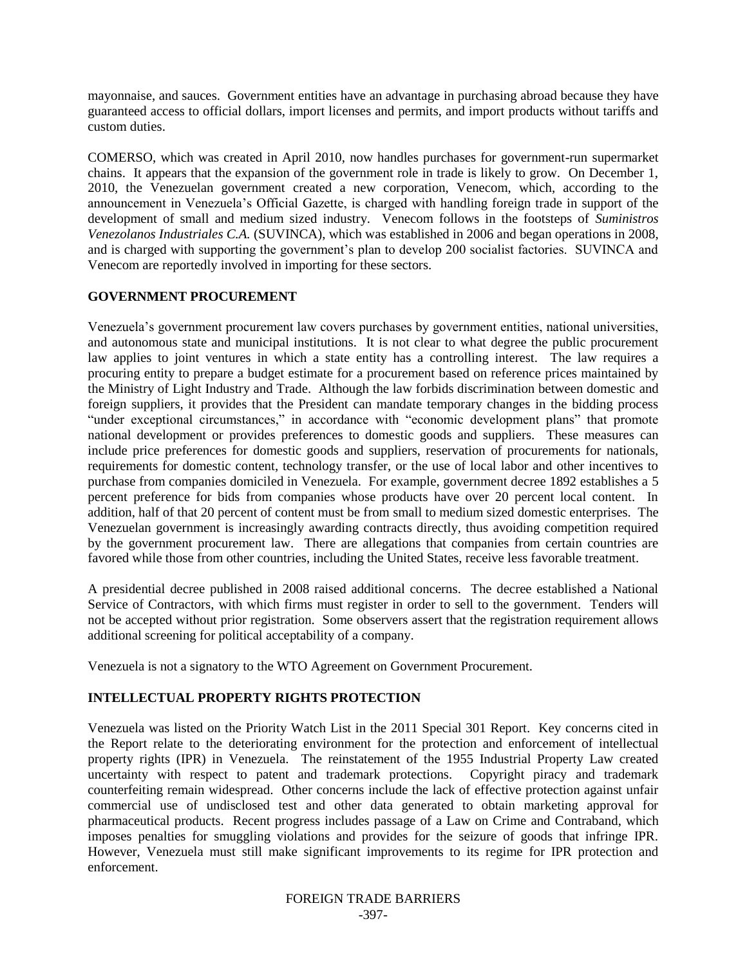mayonnaise, and sauces. Government entities have an advantage in purchasing abroad because they have guaranteed access to official dollars, import licenses and permits, and import products without tariffs and custom duties.

COMERSO, which was created in April 2010, now handles purchases for government-run supermarket chains. It appears that the expansion of the government role in trade is likely to grow. On December 1, 2010, the Venezuelan government created a new corporation, Venecom, which, according to the announcement in Venezuela"s Official Gazette, is charged with handling foreign trade in support of the development of small and medium sized industry. Venecom follows in the footsteps of *Suministros Venezolanos Industriales C.A.* (SUVINCA), which was established in 2006 and began operations in 2008, and is charged with supporting the government's plan to develop 200 socialist factories. SUVINCA and Venecom are reportedly involved in importing for these sectors.

# **GOVERNMENT PROCUREMENT**

Venezuela"s government procurement law covers purchases by government entities, national universities, and autonomous state and municipal institutions. It is not clear to what degree the public procurement law applies to joint ventures in which a state entity has a controlling interest. The law requires a procuring entity to prepare a budget estimate for a procurement based on reference prices maintained by the Ministry of Light Industry and Trade. Although the law forbids discrimination between domestic and foreign suppliers, it provides that the President can mandate temporary changes in the bidding process "under exceptional circumstances," in accordance with "economic development plans" that promote national development or provides preferences to domestic goods and suppliers. These measures can include price preferences for domestic goods and suppliers, reservation of procurements for nationals, requirements for domestic content, technology transfer, or the use of local labor and other incentives to purchase from companies domiciled in Venezuela. For example, government decree 1892 establishes a 5 percent preference for bids from companies whose products have over 20 percent local content. In addition, half of that 20 percent of content must be from small to medium sized domestic enterprises. The Venezuelan government is increasingly awarding contracts directly, thus avoiding competition required by the government procurement law. There are allegations that companies from certain countries are favored while those from other countries, including the United States, receive less favorable treatment.

A presidential decree published in 2008 raised additional concerns. The decree established a National Service of Contractors, with which firms must register in order to sell to the government. Tenders will not be accepted without prior registration. Some observers assert that the registration requirement allows additional screening for political acceptability of a company.

Venezuela is not a signatory to the WTO Agreement on Government Procurement.

# **INTELLECTUAL PROPERTY RIGHTS PROTECTION**

Venezuela was listed on the Priority Watch List in the 2011 Special 301 Report. Key concerns cited in the Report relate to the deteriorating environment for the protection and enforcement of intellectual property rights (IPR) in Venezuela. The reinstatement of the 1955 Industrial Property Law created uncertainty with respect to patent and trademark protections. Copyright piracy and trademark counterfeiting remain widespread. Other concerns include the lack of effective protection against unfair commercial use of undisclosed test and other data generated to obtain marketing approval for pharmaceutical products. Recent progress includes passage of a Law on Crime and Contraband, which imposes penalties for smuggling violations and provides for the seizure of goods that infringe IPR. However, Venezuela must still make significant improvements to its regime for IPR protection and enforcement.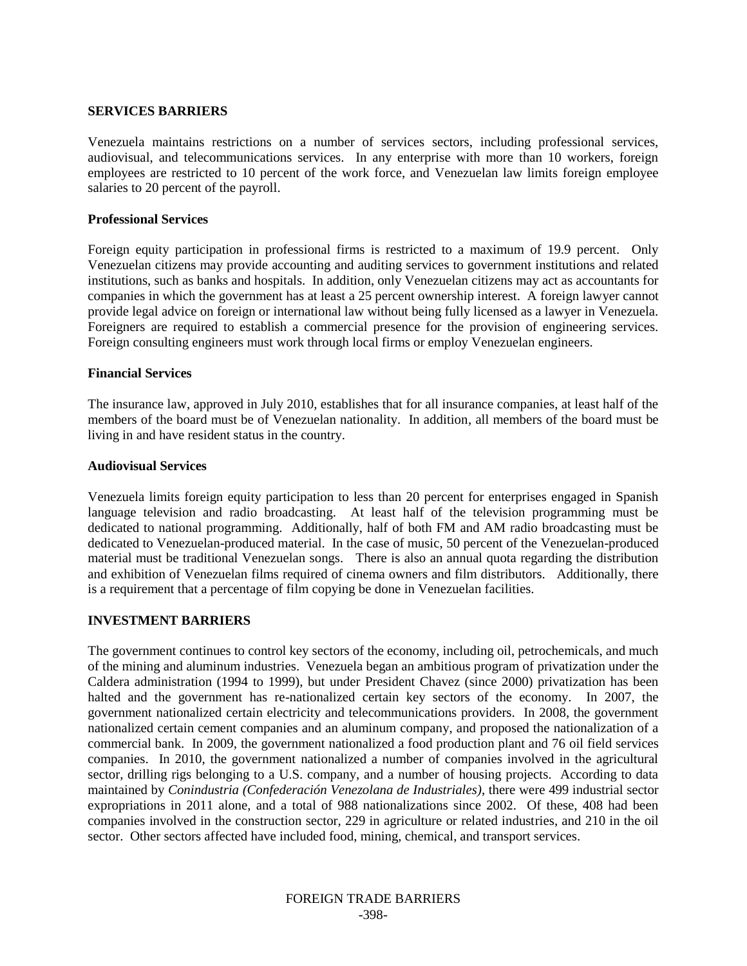### **SERVICES BARRIERS**

Venezuela maintains restrictions on a number of services sectors, including professional services, audiovisual, and telecommunications services. In any enterprise with more than 10 workers, foreign employees are restricted to 10 percent of the work force, and Venezuelan law limits foreign employee salaries to 20 percent of the payroll.

#### **Professional Services**

Foreign equity participation in professional firms is restricted to a maximum of 19.9 percent. Only Venezuelan citizens may provide accounting and auditing services to government institutions and related institutions, such as banks and hospitals. In addition, only Venezuelan citizens may act as accountants for companies in which the government has at least a 25 percent ownership interest. A foreign lawyer cannot provide legal advice on foreign or international law without being fully licensed as a lawyer in Venezuela. Foreigners are required to establish a commercial presence for the provision of engineering services. Foreign consulting engineers must work through local firms or employ Venezuelan engineers.

### **Financial Services**

The insurance law, approved in July 2010, establishes that for all insurance companies, at least half of the members of the board must be of Venezuelan nationality. In addition, all members of the board must be living in and have resident status in the country.

## **Audiovisual Services**

Venezuela limits foreign equity participation to less than 20 percent for enterprises engaged in Spanish language television and radio broadcasting. At least half of the television programming must be dedicated to national programming. Additionally, half of both FM and AM radio broadcasting must be dedicated to Venezuelan-produced material. In the case of music, 50 percent of the Venezuelan-produced material must be traditional Venezuelan songs. There is also an annual quota regarding the distribution and exhibition of Venezuelan films required of cinema owners and film distributors. Additionally, there is a requirement that a percentage of film copying be done in Venezuelan facilities.

## **INVESTMENT BARRIERS**

The government continues to control key sectors of the economy, including oil, petrochemicals, and much of the mining and aluminum industries. Venezuela began an ambitious program of privatization under the Caldera administration (1994 to 1999), but under President Chavez (since 2000) privatization has been halted and the government has re-nationalized certain key sectors of the economy. In 2007, the government nationalized certain electricity and telecommunications providers. In 2008, the government nationalized certain cement companies and an aluminum company, and proposed the nationalization of a commercial bank. In 2009, the government nationalized a food production plant and 76 oil field services companies. In 2010, the government nationalized a number of companies involved in the agricultural sector, drilling rigs belonging to a U.S. company, and a number of housing projects. According to data maintained by *Conindustria (Confederación Venezolana de Industriales)*, there were 499 industrial sector expropriations in 2011 alone, and a total of 988 nationalizations since 2002. Of these, 408 had been companies involved in the construction sector, 229 in agriculture or related industries, and 210 in the oil sector. Other sectors affected have included food, mining, chemical, and transport services.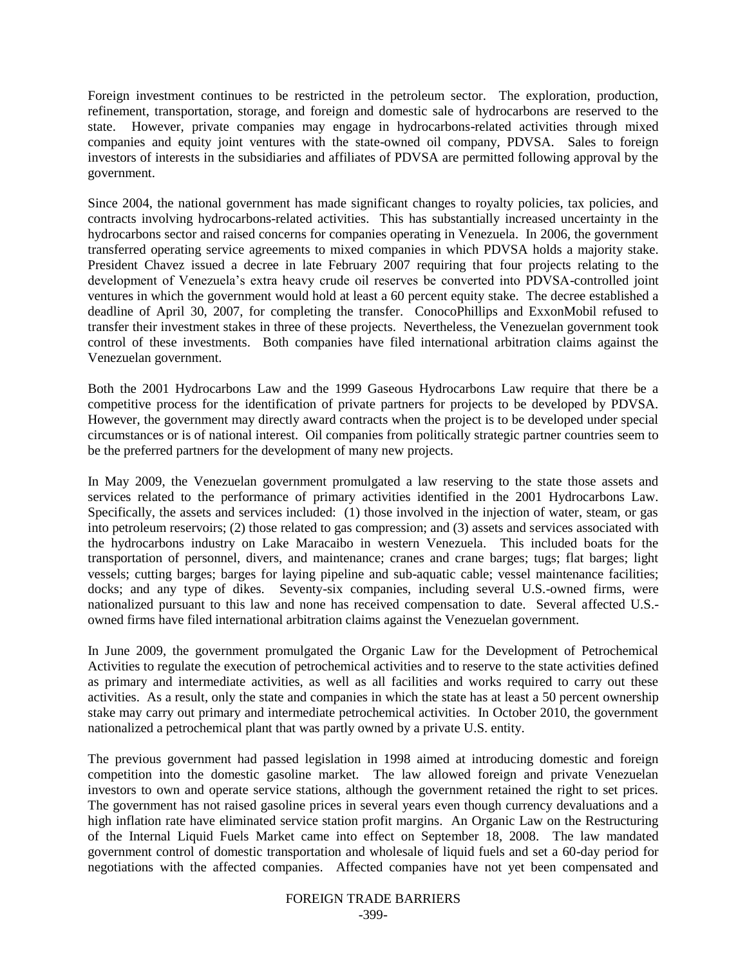Foreign investment continues to be restricted in the petroleum sector. The exploration, production, refinement, transportation, storage, and foreign and domestic sale of hydrocarbons are reserved to the state. However, private companies may engage in hydrocarbons-related activities through mixed companies and equity joint ventures with the state-owned oil company, PDVSA. Sales to foreign investors of interests in the subsidiaries and affiliates of PDVSA are permitted following approval by the government.

Since 2004, the national government has made significant changes to royalty policies, tax policies, and contracts involving hydrocarbons-related activities. This has substantially increased uncertainty in the hydrocarbons sector and raised concerns for companies operating in Venezuela. In 2006, the government transferred operating service agreements to mixed companies in which PDVSA holds a majority stake. President Chavez issued a decree in late February 2007 requiring that four projects relating to the development of Venezuela"s extra heavy crude oil reserves be converted into PDVSA-controlled joint ventures in which the government would hold at least a 60 percent equity stake. The decree established a deadline of April 30, 2007, for completing the transfer. ConocoPhillips and ExxonMobil refused to transfer their investment stakes in three of these projects. Nevertheless, the Venezuelan government took control of these investments. Both companies have filed international arbitration claims against the Venezuelan government.

Both the 2001 Hydrocarbons Law and the 1999 Gaseous Hydrocarbons Law require that there be a competitive process for the identification of private partners for projects to be developed by PDVSA. However, the government may directly award contracts when the project is to be developed under special circumstances or is of national interest. Oil companies from politically strategic partner countries seem to be the preferred partners for the development of many new projects.

In May 2009, the Venezuelan government promulgated a law reserving to the state those assets and services related to the performance of primary activities identified in the 2001 Hydrocarbons Law. Specifically, the assets and services included: (1) those involved in the injection of water, steam, or gas into petroleum reservoirs; (2) those related to gas compression; and (3) assets and services associated with the hydrocarbons industry on Lake Maracaibo in western Venezuela. This included boats for the transportation of personnel, divers, and maintenance; cranes and crane barges; tugs; flat barges; light vessels; cutting barges; barges for laying pipeline and sub-aquatic cable; vessel maintenance facilities; docks; and any type of dikes. Seventy-six companies, including several U.S.-owned firms, were nationalized pursuant to this law and none has received compensation to date. Several affected U.S. owned firms have filed international arbitration claims against the Venezuelan government.

In June 2009, the government promulgated the Organic Law for the Development of Petrochemical Activities to regulate the execution of petrochemical activities and to reserve to the state activities defined as primary and intermediate activities, as well as all facilities and works required to carry out these activities. As a result, only the state and companies in which the state has at least a 50 percent ownership stake may carry out primary and intermediate petrochemical activities. In October 2010, the government nationalized a petrochemical plant that was partly owned by a private U.S. entity.

The previous government had passed legislation in 1998 aimed at introducing domestic and foreign competition into the domestic gasoline market. The law allowed foreign and private Venezuelan investors to own and operate service stations, although the government retained the right to set prices. The government has not raised gasoline prices in several years even though currency devaluations and a high inflation rate have eliminated service station profit margins. An Organic Law on the Restructuring of the Internal Liquid Fuels Market came into effect on September 18, 2008. The law mandated government control of domestic transportation and wholesale of liquid fuels and set a 60-day period for negotiations with the affected companies. Affected companies have not yet been compensated and